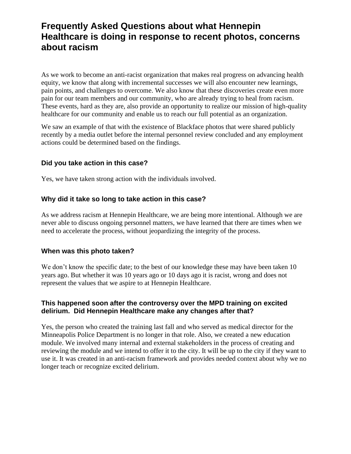# **Frequently Asked Questions about what Hennepin Healthcare is doing in response to recent photos, concerns about racism**

As we work to become an anti-racist organization that makes real progress on advancing health equity, we know that along with incremental successes we will also encounter new learnings, pain points, and challenges to overcome. We also know that these discoveries create even more pain for our team members and our community, who are already trying to heal from racism. These events, hard as they are, also provide an opportunity to realize our mission of high-quality healthcare for our community and enable us to reach our full potential as an organization.

We saw an example of that with the existence of Blackface photos that were shared publicly recently by a media outlet before the internal personnel review concluded and any employment actions could be determined based on the findings.

### **Did you take action in this case?**

Yes, we have taken strong action with the individuals involved.

### **Why did it take so long to take action in this case?**

As we address racism at Hennepin Healthcare, we are being more intentional. Although we are never able to discuss ongoing personnel matters, we have learned that there are times when we need to accelerate the process, without jeopardizing the integrity of the process.

### **When was this photo taken?**

We don't know the specific date; to the best of our knowledge these may have been taken 10 years ago. But whether it was 10 years ago or 10 days ago it is racist, wrong and does not represent the values that we aspire to at Hennepin Healthcare.

### **This happened soon after the controversy over the MPD training on excited delirium. Did Hennepin Healthcare make any changes after that?**

Yes, the person who created the training last fall and who served as medical director for the Minneapolis Police Department is no longer in that role. Also, we created a new education module. We involved many internal and external stakeholders in the process of creating and reviewing the module and we intend to offer it to the city. It will be up to the city if they want to use it. It was created in an anti-racism framework and provides needed context about why we no longer teach or recognize excited delirium.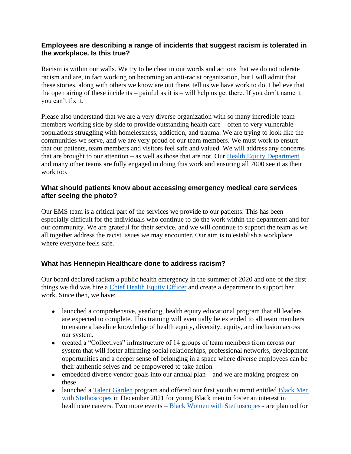### **Employees are describing a range of incidents that suggest racism is tolerated in the workplace. Is this true?**

Racism is within our walls. We try to be clear in our words and actions that we do not tolerate racism and are, in fact working on becoming an anti-racist organization, but I will admit that these stories, along with others we know are out there, tell us we have work to do. I believe that the open airing of these incidents – painful as it is – will help us get there. If you don't name it you can't fix it.

Please also understand that we are a very diverse organization with so many incredible team members working side by side to provide outstanding health care – often to very vulnerable populations struggling with homelessness, addiction, and trauma. We are trying to look like the communities we serve, and we are very proud of our team members. We must work to ensure that our patients, team members and visitors feel safe and valued. We will address any concerns that are brought to our attention – as well as those that are not. Our [Health Equity Department](https://www.hennepinhealthcare.org/health-equity/) and many other teams are fully engaged in doing this work and ensuring all 7000 see it as their work too.

### **What should patients know about accessing emergency medical care services after seeing the photo?**

Our EMS team is a critical part of the services we provide to our patients. This has been especially difficult for the individuals who continue to do the work within the department and for our community. We are grateful for their service, and we will continue to support the team as we all together address the racist issues we may encounter. Our aim is to establish a workplace where everyone feels safe.

## **What has Hennepin Healthcare done to address racism?**

Our board declared racism a public health emergency in the summer of 2020 and one of the first things we did was hire a [Chief Health Equity Officer](https://hcmcnews.org/2021/02/22/nneka-o-sederstrom-named-chief-health-equity-officer/) and create a department to support her work. Since then, we have:

- launched a comprehensive, yearlong, health equity educational program that all leaders are expected to complete. This training will eventually be extended to all team members to ensure a baseline knowledge of health equity, diversity, equity, and inclusion across our system.
- created a "Collectives" infrastructure of 14 groups of team members from across our system that will foster affirming social relationships, professional networks, development opportunities and a deeper sense of belonging in a space where diverse employees can be their authentic selves and be empowered to take action
- embedded diverse vendor goals into our annual plan and we are making progress on these
- launched a [Talent Garden](https://www.hennepinhealthcare.org/talentgarden/) program and offered our first youth summit entitled **Black Men** [with Stethoscopes](https://www.hennepinhealthcare.org/bmws/) in December 2021 for young Black men to foster an interest in healthcare careers. Two more events – **[Black Women with Stethoscopes](https://www.hennepinhealthcare.org/bwws/)** - are planned for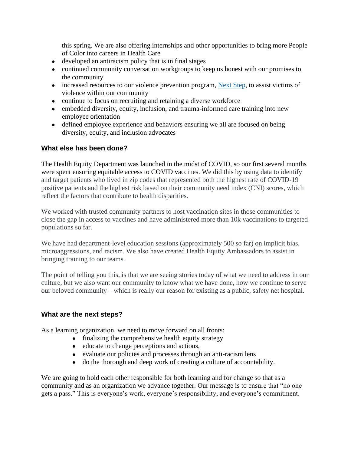this spring. We are also offering internships and other opportunities to bring more People of Color into careers in Health Care

- developed an antiracism policy that is in final stages
- continued community conversation workgroups to keep us honest with our promises to the community
- increased resources to our violence prevention program, [Next Step,](https://www.hennepinhealthcare.org/support-services/next-step-program/) to assist victims of violence within our community
- continue to focus on recruiting and retaining a diverse workforce
- embedded diversity, equity, inclusion, and trauma-informed care training into new employee orientation
- defined employee experience and behaviors ensuring we all are focused on being diversity, equity, and inclusion advocates

### **What else has been done?**

The Health Equity Department was launched in the midst of COVID, so our first several months were spent ensuring equitable access to COVID vaccines. We did this by using data to identify and target patients who lived in zip codes that represented both the highest rate of COVID-19 positive patients and the highest risk based on their community need index (CNI) scores, which reflect the factors that contribute to health disparities.

We worked with trusted community partners to host vaccination sites in those communities to close the gap in access to vaccines and have administered more than 10k vaccinations to targeted populations so far.

We have had department-level education sessions (approximately 500 so far) on implicit bias, microaggressions, and racism. We also have created Health Equity Ambassadors to assist in bringing training to our teams.

The point of telling you this, is that we are seeing stories today of what we need to address in our culture, but we also want our community to know what we have done, how we continue to serve our beloved community – which is really our reason for existing as a public, safety net hospital.

### **What are the next steps?**

As a learning organization, we need to move forward on all fronts:

- finalizing the comprehensive health equity strategy
- educate to change perceptions and actions,
- evaluate our policies and processes through an anti-racism lens
- do the thorough and deep work of creating a culture of accountability.

We are going to hold each other responsible for both learning and for change so that as a community and as an organization we advance together. Our message is to ensure that "no one gets a pass." This is everyone's work, everyone's responsibility, and everyone's commitment.